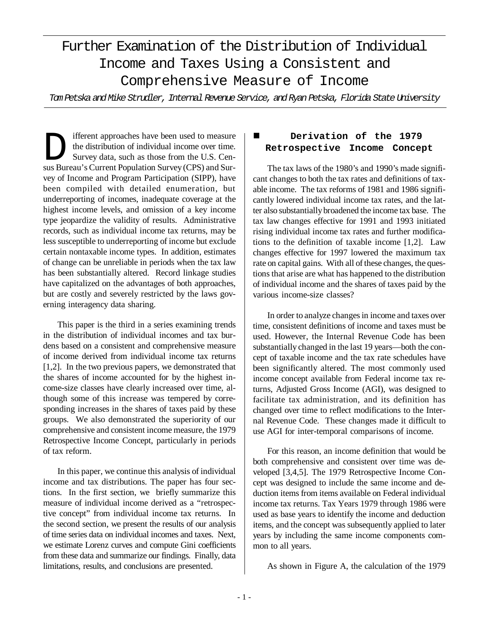# Further Examination of the Distribution of Individual Income and Taxes Using a Consistent and Comprehensive Measure of Income

*Tom Petska and Mike Strudler, Internal Revenue Service, and Ryan Petska, Florida State University*

Ifferent approaches have been used to measure<br>the distribution of individual income over time.<br>Survey data, such as those from the U.S. Census Bureau's Current Population Survey (CPS) and Surifferent approaches have been used to measure the distribution of individual income over time. Survey data, such as those from the U.S. Cenvey of Income and Program Participation (SIPP), have been compiled with detailed enumeration, but underreporting of incomes, inadequate coverage at the highest income levels, and omission of a key income type jeopardize the validity of results. Administrative records, such as individual income tax returns, may be less susceptible to underreporting of income but exclude certain nontaxable income types. In addition, estimates of change can be unreliable in periods when the tax law has been substantially altered. Record linkage studies have capitalized on the advantages of both approaches, but are costly and severely restricted by the laws governing interagency data sharing.

This paper is the third in a series examining trends in the distribution of individual incomes and tax burdens based on a consistent and comprehensive measure of income derived from individual income tax returns [1,2]. In the two previous papers, we demonstrated that the shares of income accounted for by the highest income-size classes have clearly increased over time, although some of this increase was tempered by corresponding increases in the shares of taxes paid by these groups. We also demonstrated the superiority of our comprehensive and consistent income measure, the 1979 Retrospective Income Concept, particularly in periods of tax reform.

In this paper, we continue this analysis of individual income and tax distributions. The paper has four sections. In the first section, we briefly summarize this measure of individual income derived as a "retrospective concept" from individual income tax returns. In the second section, we present the results of our analysis of time series data on individual incomes and taxes. Next, we estimate Lorenz curves and compute Gini coefficients from these data and summarize our findings. Finally, data limitations, results, and conclusions are presented.

# Derivation of the 1979 **Retrospective Income Concept**

The tax laws of the 1980's and 1990's made significant changes to both the tax rates and definitions of taxable income. The tax reforms of 1981 and 1986 significantly lowered individual income tax rates, and the latter also substantially broadened the income tax base. The tax law changes effective for 1991 and 1993 initiated rising individual income tax rates and further modifications to the definition of taxable income [1,2]. Law changes effective for 1997 lowered the maximum tax rate on capital gains. With all of these changes, the questions that arise are what has happened to the distribution of individual income and the shares of taxes paid by the various income-size classes?

In order to analyze changes in income and taxes over time, consistent definitions of income and taxes must be used. However, the Internal Revenue Code has been substantially changed in the last 19 years— both the concept of taxable income and the tax rate schedules have been significantly altered. The most commonly used income concept available from Federal income tax returns, Adjusted Gross Income (AGI), was designed to facilitate tax administration, and its definition has changed over time to reflect modifications to the Internal Revenue Code. These changes made it difficult to use AGI for inter-temporal comparisons of income.

For this reason, an income definition that would be both comprehensive and consistent over time was developed [3,4,5]. The 1979 Retrospective Income Concept was designed to include the same income and deduction items from items available on Federal individual income tax returns. Tax Years 1979 through 1986 were used as base years to identify the income and deduction items, and the concept was subsequently applied to later years by including the same income components common to all years.

As shown in Figure A, the calculation of the 1979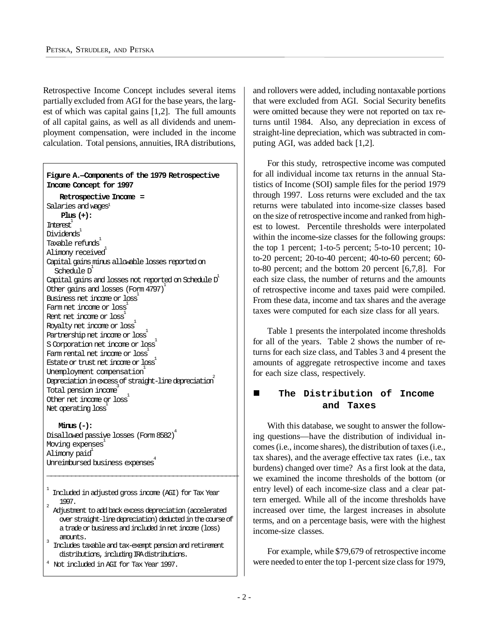Retrospective Income Concept includes several items partially excluded from AGI for the base years, the largest of which was capital gains [1,2]. The full amounts of all capital gains, as well as all dividends and unemployment compensation, were included in the income calculation. Total pensions, annuities, IRA distributions,

**Figure A.—Components of the 1979 Retrospective Income Concept for 1997**

 **Retrospective Income =** Salaries and wages 1 **Plus (+):** Interest 1 Dividends 1 Taxable refunds 1 Alimony received<sup>1</sup> Capital gains minus allowable losses reported on Schedule D 1 Capital gains and losses not reported on Schedule D  $^{\rm l}$ Other gains and losses (Form 4797) 1 Business net income or loss 1 Farm net income or loss 1 Rent net income or loss 1 Royalty net income or loss 1 Partnership net income or loss 1 S Corporation net income or loss 1 Farm rental net income or loss 1 Estate or trust net incore or loss  $\frac{1}{2}$ Unemployment compensation 1 Depreciation in excess of straight-line depreciation  $\overline{\phantom{a}^2}$ -<br>Total pension income<sup>3</sup> Other net income or loss 1 Net operating loss<sup>1</sup>

#### **Minus (-):**

Disallowed passive losses (Form 8582) Moving expenses 1 Alimony paid<sup>1</sup> Unreimbursed business expenses 4

1 Included in adjusted gross income (AGI) for Tax Year  $\frac{1997}{2}$ .

Adjustment to add back excess depreciation (accelerated over straight-line depreciation) deducted in the course of a trade or business and included in net income (loss) amounts.

\_\_\_\_\_\_\_\_\_\_\_\_\_\_\_\_\_\_\_\_\_\_\_\_\_\_\_\_\_\_\_\_\_\_\_\_\_\_\_\_\_\_\_\_\_\_\_

4

Includes taxable and tax-exempt pension and retirement distributions, including IRA distributions.

<sup>4</sup> Not included in AGI for Tax Year 1997.

and rollovers were added, including nontaxable portions that were excluded from AGI. Social Security benefits were omitted because they were not reported on tax returns until 1984. Also, any depreciation in excess of straight-line depreciation, which was subtracted in computing AGI, was added back [1,2].

For this study, retrospective income was computed for all individual income tax returns in the annual Statistics of Income (SOI) sample files for the period 1979 through 1997. Loss returns were excluded and the tax returns were tabulated into income-size classes based on the size of retrospective income and ranked from highest to lowest. Percentile thresholds were interpolated within the income-size classes for the following groups: the top 1 percent; 1-to-5 percent; 5-to-10 percent; 10 to-20 percent; 20-to-40 percent; 40-to-60 percent; 60 to-80 percent; and the bottom 20 percent [6,7,8]. For each size class, the number of returns and the amounts of retrospective income and taxes paid were compiled. From these data, income and tax shares and the average taxes were computed for each size class for all years.

Table 1 presents the interpolated income thresholds for all of the years. Table 2 shows the number of returns for each size class, and Tables 3 and 4 present the amounts of aggregate retrospective income and taxes for each size class, respectively.

## n **The Distribution of Income and Taxes**

With this database, we sought to answer the following questions— have the distribution of individual incomes (i.e., income shares), the distribution of taxes (i.e., tax shares), and the average effective tax rates (i.e., tax burdens) changed over time? As a first look at the data, we examined the income thresholds of the bottom (or entry level) of each income-size class and a clear pattern emerged. While all of the income thresholds have increased over time, the largest increases in absolute terms, and on a percentage basis, were with the highest income-size classes.

For example, while \$79,679 of retrospective income were needed to enter the top 1-percent size class for 1979,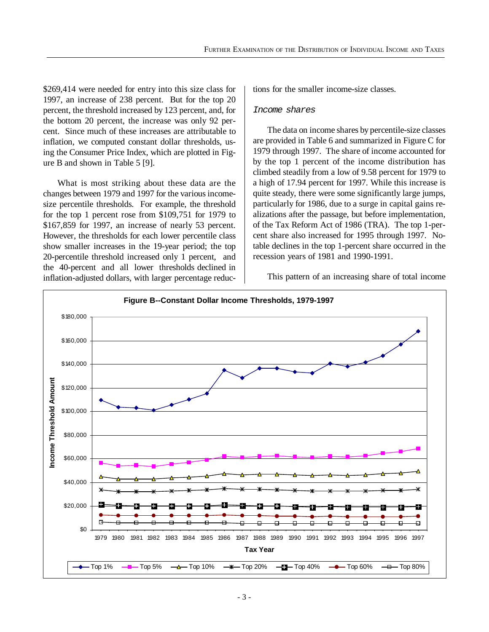\$269,414 were needed for entry into this size class for 1997, an increase of 238 percent. But for the top 20 percent, the threshold increased by 123 percent, and, for the bottom 20 percent, the increase was only 92 percent. Since much of these increases are attributable to inflation, we computed constant dollar thresholds, using the Consumer Price Index, which are plotted in Figure B and shown in Table 5 [9].

What is most striking about these data are the changes between 1979 and 1997 for the various incomesize percentile thresholds. For example, the threshold for the top 1 percent rose from \$109,751 for 1979 to \$167,859 for 1997, an increase of nearly 53 percent. However, the thresholds for each lower percentile class show smaller increases in the 19-year period; the top 20-percentile threshold increased only 1 percent, and the 40-percent and all lower thresholds declined in inflation-adjusted dollars, with larger percentage reductions for the smaller income-size classes.

#### *Income shares*

The data on income shares by percentile-size classes are provided in Table 6 and summarized in Figure C for 1979 through 1997. The share of income accounted for by the top 1 percent of the income distribution has climbed steadily from a low of 9.58 percent for 1979 to a high of 17.94 percent for 1997. While this increase is quite steady, there were some significantly large jumps, particularly for 1986, due to a surge in capital gains realizations after the passage, but before implementation, of the Tax Reform Act of 1986 (TRA). The top 1-percent share also increased for 1995 through 1997. Notable declines in the top 1-percent share occurred in the recession years of 1981 and 1990-1991.

This pattern of an increasing share of total income

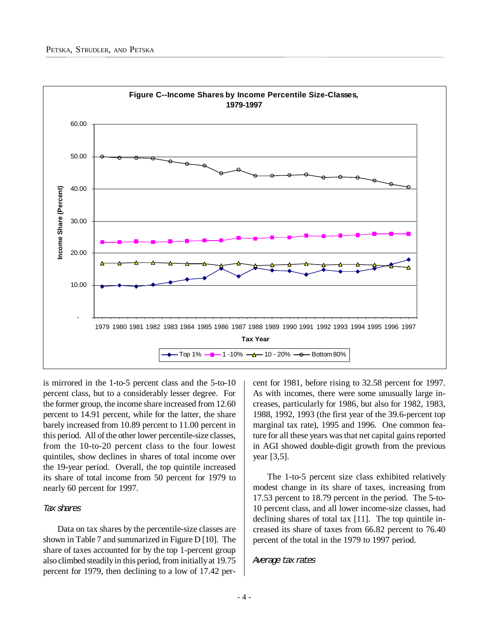

is mirrored in the 1-to-5 percent class and the 5-to-10 percent class, but to a considerably lesser degree. For the former group, the income share increased from 12.60 percent to 14.91 percent, while for the latter, the share barely increased from 10.89 percent to 11.00 percent in this period. All of the other lower percentile-size classes, from the 10-to-20 percent class to the four lowest quintiles, show declines in shares of total income over the 19-year period. Overall, the top quintile increased its share of total income from 50 percent for 1979 to nearly 60 percent for 1997.

#### *Tax shares*

Data on tax shares by the percentile-size classes are shown in Table 7 and summarized in Figure D [10]. The share of taxes accounted for by the top 1-percent group also climbed steadily in this period, from initially at 19.75 percent for 1979, then declining to a low of 17.42 percent for 1981, before rising to 32.58 percent for 1997. As with incomes, there were some unusually large increases, particularly for 1986, but also for 1982, 1983, 1988, 1992, 1993 (the first year of the 39.6-percent top marginal tax rate), 1995 and 1996. One common feature for all these years was that net capital gains reported in AGI showed double-digit growth from the previous year [3,5].

The 1-to-5 percent size class exhibited relatively modest change in its share of taxes, increasing from 17.53 percent to 18.79 percent in the period. The 5-to-10 percent class, and all lower income-size classes, had declining shares of total tax [11]. The top quintile increased its share of taxes from 66.82 percent to 76.40 percent of the total in the 1979 to 1997 period.

#### *Average tax rates*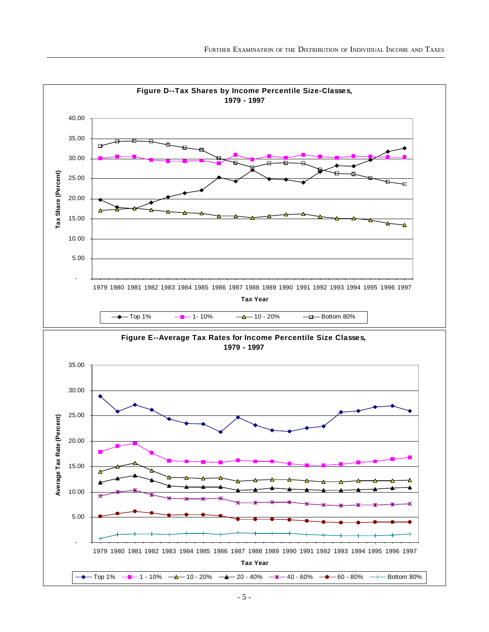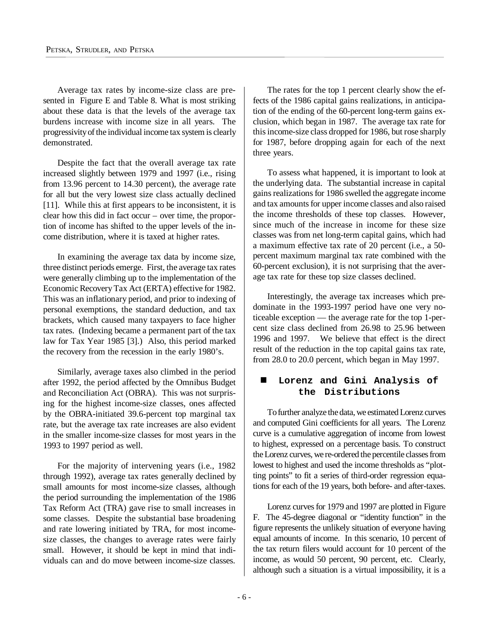Average tax rates by income-size class are presented in Figure E and Table 8. What is most striking about these data is that the levels of the average tax burdens increase with income size in all years. The progressivity of the individual income tax system is clearly demonstrated.

Despite the fact that the overall average tax rate increased slightly between 1979 and 1997 (i.e., rising from 13.96 percent to 14.30 percent), the average rate for all but the very lowest size class actually declined [11]. While this at first appears to be inconsistent, it is clear how this did in fact occur – over time, the proportion of income has shifted to the upper levels of the income distribution, where it is taxed at higher rates.

In examining the average tax data by income size, three distinct periods emerge. First, the average tax rates were generally climbing up to the implementation of the Economic Recovery Tax Act (ERTA) effective for 1982. This was an inflationary period, and prior to indexing of personal exemptions, the standard deduction, and tax brackets, which caused many taxpayers to face higher tax rates. (Indexing became a permanent part of the tax law for Tax Year 1985 [3].) Also, this period marked the recovery from the recession in the early 1980's.

Similarly, average taxes also climbed in the period after 1992, the period affected by the Omnibus Budget and Reconciliation Act (OBRA). This was not surprising for the highest income-size classes, ones affected by the OBRA-initiated 39.6-percent top marginal tax rate, but the average tax rate increases are also evident in the smaller income-size classes for most years in the 1993 to 1997 period as well.

For the majority of intervening years (i.e., 1982 through 1992), average tax rates generally declined by small amounts for most income-size classes, although the period surrounding the implementation of the 1986 Tax Reform Act (TRA) gave rise to small increases in some classes. Despite the substantial base broadening and rate lowering initiated by TRA, for most incomesize classes, the changes to average rates were fairly small. However, it should be kept in mind that individuals can and do move between income-size classes.

The rates for the top 1 percent clearly show the effects of the 1986 capital gains realizations, in anticipation of the ending of the 60-percent long-term gains exclusion, which began in 1987. The average tax rate for this income-size class dropped for 1986, but rose sharply for 1987, before dropping again for each of the next three years.

To assess what happened, it is important to look at the underlying data. The substantial increase in capital gains realizations for 1986 swelled the aggregate income and tax amounts for upper income classes and also raised the income thresholds of these top classes. However, since much of the increase in income for these size classes was from net long-term capital gains, which had a maximum effective tax rate of 20 percent (i.e., a 50 percent maximum marginal tax rate combined with the 60-percent exclusion), it is not surprising that the average tax rate for these top size classes declined.

Interestingly, the average tax increases which predominate in the 1993-1997 period have one very noticeable exception — the average rate for the top 1-percent size class declined from 26.98 to 25.96 between 1996 and 1997. We believe that effect is the direct result of the reduction in the top capital gains tax rate, from 28.0 to 20.0 percent, which began in May 1997.

## n **Lorenz and Gini Analysis of the Distributions**

To further analyze the data, we estimated Lorenz curves and computed Gini coefficients for all years. The Lorenz curve is a cumulative aggregation of income from lowest to highest, expressed on a percentage basis. To construct the Lorenz curves, we re-ordered the percentile classes from lowest to highest and used the income thresholds as "plotting points" to fit a series of third-order regression equations for each of the 19 years, both before- and after-taxes.

Lorenz curves for 1979 and 1997 are plotted in Figure F. The 45-degree diagonal or "identity function" in the figure represents the unlikely situation of everyone having equal amounts of income. In this scenario, 10 percent of the tax return filers would account for 10 percent of the income, as would 50 percent, 90 percent, etc. Clearly, although such a situation is a virtual impossibility, it is a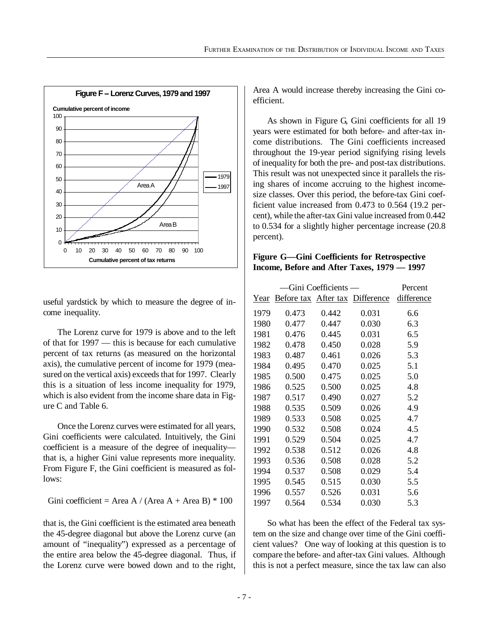

useful yardstick by which to measure the degree of income inequality.

The Lorenz curve for 1979 is above and to the left of that for 1997 — this is because for each cumulative percent of tax returns (as measured on the horizontal axis), the cumulative percent of income for 1979 (measured on the vertical axis) exceeds that for 1997. Clearly this is a situation of less income inequality for 1979, which is also evident from the income share data in Figure C and Table 6.

Once the Lorenz curves were estimated for all years, Gini coefficients were calculated. Intuitively, the Gini coefficient is a measure of the degree of inequality that is, a higher Gini value represents more inequality. From Figure F, the Gini coefficient is measured as follows:

Gini coefficient = Area A / (Area A + Area B)  $*$  100

that is, the Gini coefficient is the estimated area beneath the 45-degree diagonal but above the Lorenz curve (an amount of "inequality") expressed as a percentage of the entire area below the 45-degree diagonal. Thus, if the Lorenz curve were bowed down and to the right,

Area A would increase thereby increasing the Gini coefficient.

As shown in Figure G, Gini coefficients for all 19 years were estimated for both before- and after-tax income distributions. The Gini coefficients increased throughout the 19-year period signifying rising levels of inequality for both the pre- and post-tax distributions. This result was not unexpected since it parallels the rising shares of income accruing to the highest incomesize classes. Over this period, the before-tax Gini coefficient value increased from 0.473 to 0.564 (19.2 percent), while the after-tax Gini value increased from 0.442 to 0.534 for a slightly higher percentage increase (20.8 percent).

## **Figure G— Gini Coefficients for Retrospective Income, Before and After Taxes, 1979 — 1997**

|      |       | Gini Coefficients — |                                 | Percent    |
|------|-------|---------------------|---------------------------------|------------|
| Year |       |                     | Before tax After tax Difference | difference |
| 1979 | 0.473 | 0.442               | 0.031                           | 6.6        |
| 1980 | 0.477 | 0.447               | 0.030                           | 6.3        |
| 1981 | 0.476 | 0.445               | 0.031                           | 6.5        |
| 1982 | 0.478 | 0.450               | 0.028                           | 5.9        |
| 1983 | 0.487 | 0.461               | 0.026                           | 5.3        |
| 1984 | 0.495 | 0.470               | 0.025                           | 5.1        |
| 1985 | 0.500 | 0.475               | 0.025                           | 5.0        |
| 1986 | 0.525 | 0.500               | 0.025                           | 4.8        |
| 1987 | 0.517 | 0.490               | 0.027                           | 5.2        |
| 1988 | 0.535 | 0.509               | 0.026                           | 4.9        |
| 1989 | 0.533 | 0.508               | 0.025                           | 4.7        |
| 1990 | 0.532 | 0.508               | 0.024                           | 4.5        |
| 1991 | 0.529 | 0.504               | 0.025                           | 4.7        |
| 1992 | 0.538 | 0.512               | 0.026                           | 4.8        |
| 1993 | 0.536 | 0.508               | 0.028                           | 5.2        |
| 1994 | 0.537 | 0.508               | 0.029                           | 5.4        |
| 1995 | 0.545 | 0.515               | 0.030                           | 5.5        |
| 1996 | 0.557 | 0.526               | 0.031                           | 5.6        |
| 1997 | 0.564 | 0.534               | 0.030                           | 5.3        |

So what has been the effect of the Federal tax system on the size and change over time of the Gini coefficient values? One way of looking at this question is to compare the before- and after-tax Gini values. Although this is not a perfect measure, since the tax law can also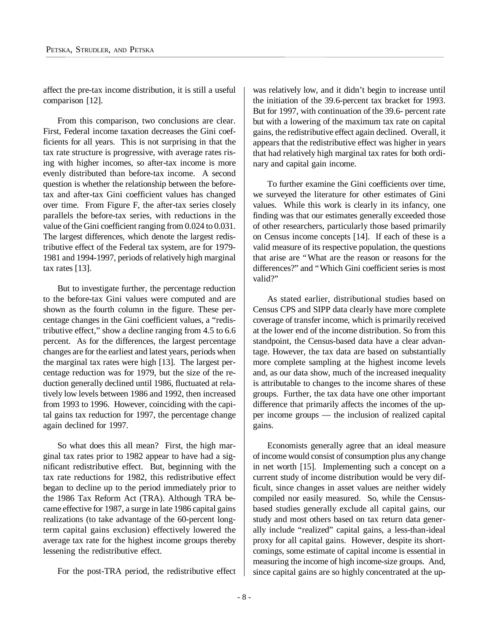affect the pre-tax income distribution, it is still a useful comparison [12].

From this comparison, two conclusions are clear. First, Federal income taxation decreases the Gini coefficients for all years. This is not surprising in that the tax rate structure is progressive, with average rates rising with higher incomes, so after-tax income is more evenly distributed than before-tax income. A second question is whether the relationship between the beforetax and after-tax Gini coefficient values has changed over time. From Figure F, the after-tax series closely parallels the before-tax series, with reductions in the value of the Gini coefficient ranging from 0.024 to 0.031. The largest differences, which denote the largest redistributive effect of the Federal tax system, are for 1979- 1981 and 1994-1997, periods of relatively high marginal tax rates [13].

But to investigate further, the percentage reduction to the before-tax Gini values were computed and are shown as the fourth column in the figure. These percentage changes in the Gini coefficient values, a "redistributive effect," show a decline ranging from 4.5 to 6.6 percent. As for the differences, the largest percentage changes are for the earliest and latest years, periods when the marginal tax rates were high [13]. The largest percentage reduction was for 1979, but the size of the reduction generally declined until 1986, fluctuated at relatively low levels between 1986 and 1992, then increased from 1993 to 1996. However, coinciding with the capital gains tax reduction for 1997, the percentage change again declined for 1997.

So what does this all mean? First, the high marginal tax rates prior to 1982 appear to have had a significant redistributive effect. But, beginning with the tax rate reductions for 1982, this redistributive effect began to decline up to the period immediately prior to the 1986 Tax Reform Act (TRA). Although TRA became effective for 1987, a surge in late 1986 capital gains realizations (to take advantage of the 60-percent longterm capital gains exclusion) effectively lowered the average tax rate for the highest income groups thereby lessening the redistributive effect.

For the post-TRA period, the redistributive effect

was relatively low, and it didn't begin to increase until the initiation of the 39.6-percent tax bracket for 1993. But for 1997, with continuation of the 39.6- percent rate but with a lowering of the maximum tax rate on capital gains, the redistributive effect again declined. Overall, it appears that the redistributive effect was higher in years that had relatively high marginal tax rates for both ordinary and capital gain income.

To further examine the Gini coefficients over time, we surveyed the literature for other estimates of Gini values. While this work is clearly in its infancy, one finding was that our estimates generally exceeded those of other researchers, particularly those based primarily on Census income concepts [14]. If each of these is a valid measure of its respective population, the questions that arise are "What are the reason or reasons for the differences?" and "Which Gini coefficient series is most valid?"

As stated earlier, distributional studies based on Census CPS and SIPP data clearly have more complete coverage of transfer income, which is primarily received at the lower end of the income distribution. So from this standpoint, the Census-based data have a clear advantage. However, the tax data are based on substantially more complete sampling at the highest income levels and, as our data show, much of the increased inequality is attributable to changes to the income shares of these groups. Further, the tax data have one other important difference that primarily affects the incomes of the upper income groups — the inclusion of realized capital gains.

Economists generally agree that an ideal measure of income would consist of consumption plus any change in net worth [15]. Implementing such a concept on a current study of income distribution would be very difficult, since changes in asset values are neither widely compiled nor easily measured. So, while the Censusbased studies generally exclude all capital gains, our study and most others based on tax return data generally include "realized" capital gains, a less-than-ideal proxy for all capital gains. However, despite its shortcomings, some estimate of capital income is essential in measuring the income of high income-size groups. And, since capital gains are so highly concentrated at the up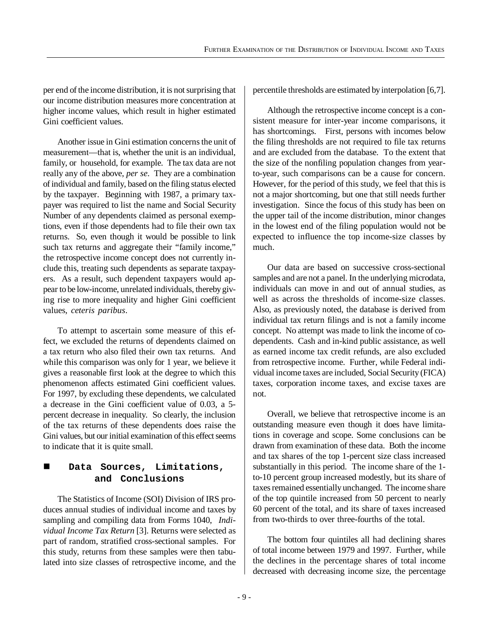per end of the income distribution, it is not surprising that our income distribution measures more concentration at higher income values, which result in higher estimated Gini coefficient values.

Another issue in Gini estimation concerns the unit of measurement— that is, whether the unit is an individual, family, or household, for example. The tax data are not really any of the above, *per se*. They are a combination of individual and family, based on the filing status elected by the taxpayer. Beginning with 1987, a primary taxpayer was required to list the name and Social Security Number of any dependents claimed as personal exemptions, even if those dependents had to file their own tax returns. So, even though it would be possible to link such tax returns and aggregate their "family income," the retrospective income concept does not currently include this, treating such dependents as separate taxpayers. As a result, such dependent taxpayers would appear to be low-income, unrelated individuals, thereby giving rise to more inequality and higher Gini coefficient values, *ceteris paribus*.

To attempt to ascertain some measure of this effect, we excluded the returns of dependents claimed on a tax return who also filed their own tax returns. And while this comparison was only for 1 year, we believe it gives a reasonable first look at the degree to which this phenomenon affects estimated Gini coefficient values. For 1997, by excluding these dependents, we calculated a decrease in the Gini coefficient value of 0.03, a 5 percent decrease in inequality. So clearly, the inclusion of the tax returns of these dependents does raise the Gini values, but our initial examination of this effect seems to indicate that it is quite small.

## n **Data Sources, Limitations, and Conclusions**

The Statistics of Income (SOI) Division of IRS produces annual studies of individual income and taxes by sampling and compiling data from Forms 1040, *Individual Income Tax Return* [3]. Returns were selected as part of random, stratified cross-sectional samples. For this study, returns from these samples were then tabulated into size classes of retrospective income, and the percentile thresholds are estimated by interpolation [6,7].

Although the retrospective income concept is a consistent measure for inter-year income comparisons, it has shortcomings. First, persons with incomes below the filing thresholds are not required to file tax returns and are excluded from the database. To the extent that the size of the nonfiling population changes from yearto-year, such comparisons can be a cause for concern. However, for the period of this study, we feel that this is not a major shortcoming, but one that still needs further investigation. Since the focus of this study has been on the upper tail of the income distribution, minor changes in the lowest end of the filing population would not be expected to influence the top income-size classes by much.

Our data are based on successive cross-sectional samples and are not a panel. In the underlying microdata, individuals can move in and out of annual studies, as well as across the thresholds of income-size classes. Also, as previously noted, the database is derived from individual tax return filings and is not a family income concept. No attempt was made to link the income of codependents. Cash and in-kind public assistance, as well as earned income tax credit refunds, are also excluded from retrospective income. Further, while Federal individual income taxes are included, Social Security (FICA) taxes, corporation income taxes, and excise taxes are not.

Overall, we believe that retrospective income is an outstanding measure even though it does have limitations in coverage and scope. Some conclusions can be drawn from examination of these data. Both the income and tax shares of the top 1-percent size class increased substantially in this period. The income share of the 1 to-10 percent group increased modestly, but its share of taxes remained essentially unchanged. The income share of the top quintile increased from 50 percent to nearly 60 percent of the total, and its share of taxes increased from two-thirds to over three-fourths of the total.

The bottom four quintiles all had declining shares of total income between 1979 and 1997. Further, while the declines in the percentage shares of total income decreased with decreasing income size, the percentage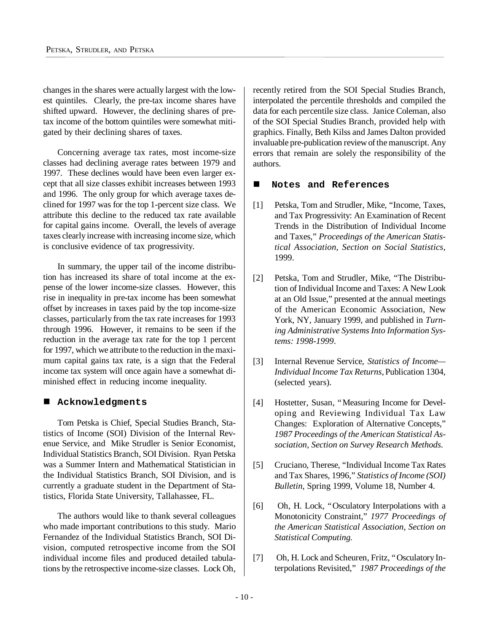changes in the shares were actually largest with the lowest quintiles. Clearly, the pre-tax income shares have shifted upward. However, the declining shares of pretax income of the bottom quintiles were somewhat mitigated by their declining shares of taxes.

Concerning average tax rates, most income-size classes had declining average rates between 1979 and 1997. These declines would have been even larger except that all size classes exhibit increases between 1993 and 1996. The only group for which average taxes declined for 1997 was for the top 1-percent size class. We attribute this decline to the reduced tax rate available for capital gains income. Overall, the levels of average taxes clearly increase with increasing income size, which is conclusive evidence of tax progressivity.

In summary, the upper tail of the income distribution has increased its share of total income at the expense of the lower income-size classes. However, this rise in inequality in pre-tax income has been somewhat offset by increases in taxes paid by the top income-size classes, particularly from the tax rate increases for 1993 through 1996. However, it remains to be seen if the reduction in the average tax rate for the top 1 percent for 1997, which we attribute to the reduction in the maximum capital gains tax rate, is a sign that the Federal income tax system will once again have a somewhat diminished effect in reducing income inequality.

#### n **Acknowledgments**

Tom Petska is Chief, Special Studies Branch, Statistics of Income (SOI) Division of the Internal Revenue Service, and Mike Strudler is Senior Economist, Individual Statistics Branch, SOI Division. Ryan Petska was a Summer Intern and Mathematical Statistician in the Individual Statistics Branch, SOI Division, and is currently a graduate student in the Department of Statistics, Florida State University, Tallahassee, FL.

The authors would like to thank several colleagues who made important contributions to this study. Mario Fernandez of the Individual Statistics Branch, SOI Division, computed retrospective income from the SOI individual income files and produced detailed tabulations by the retrospective income-size classes. Lock Oh,

recently retired from the SOI Special Studies Branch, interpolated the percentile thresholds and compiled the data for each percentile size class. Janice Coleman, also of the SOI Special Studies Branch, provided help with graphics. Finally, Beth Kilss and James Dalton provided invaluable pre-publication review of the manuscript. Any errors that remain are solely the responsibility of the authors.

### ■ Notes and References

- [1] Petska, Tom and Strudler, Mike, "Income, Taxes, and Tax Progressivity: An Examination of Recent Trends in the Distribution of Individual Income and Taxes," *Proceedings of the American Statistical Association, Section on Social Statistics*, 1999.
- [2] Petska, Tom and Strudler, Mike, "The Distribution of Individual Income and Taxes: A New Look at an Old Issue," presented at the annual meetings of the American Economic Association, New York, NY, January 1999, and published in *Turning Administrative Systems Into Information Systems: 1998-1999*.
- [3] Internal Revenue Service, *Statistics of Income— Individual Income Tax Returns,* Publication 1304*,* (selected years).
- [4] Hostetter, Susan, "Measuring Income for Developing and Reviewing Individual Tax Law Changes: Exploration of Alternative Concepts," *1987 Proceedings of the American Statistical Association, Section on Survey Research Methods.*
- [5] Cruciano, Therese, "Individual Income Tax Rates and Tax Shares, 1996," *Statistics of Income (SOI) Bulletin*, Spring 1999, Volume 18, Number 4.
- [6] Oh, H. Lock, "Osculatory Interpolations with a Monotonicity Constraint," *1977 Proceedings of the American Statistical Association, Section on Statistical Computing.*
- [7] Oh, H. Lock and Scheuren, Fritz, "Osculatory Interpolations Revisited," *1987 Proceedings of the*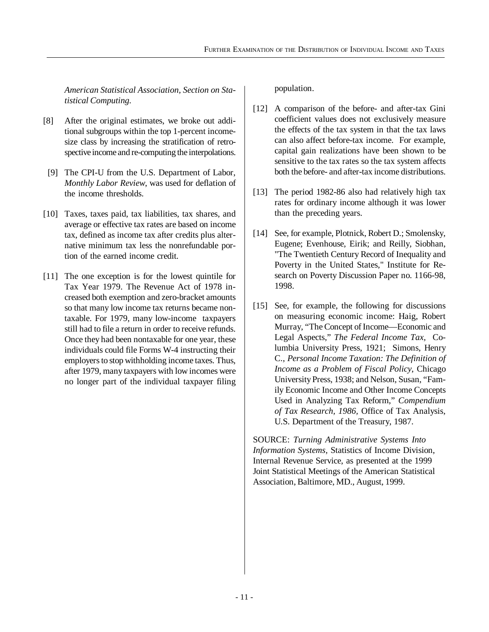*American Statistical Association, Section on Statistical Computing.*

- [8] After the original estimates, we broke out additional subgroups within the top 1-percent incomesize class by increasing the stratification of retrospective income and re-computing the interpolations.
- [9] The CPI-U from the U.S. Department of Labor, *Monthly Labor Review*, was used for deflation of the income thresholds.
- [10] Taxes, taxes paid, tax liabilities, tax shares, and average or effective tax rates are based on income tax, defined as income tax after credits plus alternative minimum tax less the nonrefundable portion of the earned income credit.
- [11] The one exception is for the lowest quintile for Tax Year 1979. The Revenue Act of 1978 increased both exemption and zero-bracket amounts so that many low income tax returns became nontaxable. For 1979, many low-income taxpayers still had to file a return in order to receive refunds. Once they had been nontaxable for one year, these individuals could file Forms W-4 instructing their employers to stop withholding income taxes. Thus, after 1979, many taxpayers with low incomes were no longer part of the individual taxpayer filing

population.

- [12] A comparison of the before- and after-tax Gini coefficient values does not exclusively measure the effects of the tax system in that the tax laws can also affect before-tax income. For example, capital gain realizations have been shown to be sensitive to the tax rates so the tax system affects both the before- and after-tax income distributions.
- [13] The period 1982-86 also had relatively high tax rates for ordinary income although it was lower than the preceding years.
- [14] See, for example, Plotnick, Robert D.; Smolensky, Eugene; Evenhouse, Eirik; and Reilly, Siobhan, "The Twentieth Century Record of Inequality and Poverty in the United States," Institute for Research on Poverty Discussion Paper no. 1166-98, 1998.
- [15] See, for example, the following for discussions on measuring economic income: Haig, Robert Murray, "The Concept of Income— Economic and Legal Aspects," *The Federal Income Tax,* Columbia University Press, 1921; Simons, Henry C., *Personal Income Taxation: The Definition of Income as a Problem of Fiscal Policy*, Chicago University Press, 1938; and Nelson, Susan, "Family Economic Income and Other Income Concepts Used in Analyzing Tax Reform," *Compendium of Tax Research, 1986,* Office of Tax Analysis, U.S. Department of the Treasury, 1987.

SOURCE: *Turning Administrative Systems Into Information Systems,* Statistics of Income Division, Internal Revenue Service, as presented at the 1999 Joint Statistical Meetings of the American Statistical Association, Baltimore, MD., August, 1999.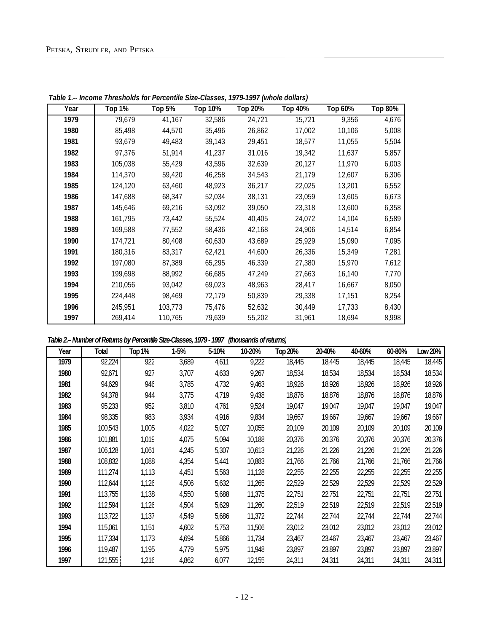| Year | <b>Top 1%</b> | Top $5\overline{8}$ | <b>Top 10%</b> | <b>Top 20%</b> | <b>Top 40%</b> | Top 60% | Top 80% |
|------|---------------|---------------------|----------------|----------------|----------------|---------|---------|
| 1979 | 79,679        | 41,167              | 32,586         | 24,721         | 15,721         | 9,356   | 4,676   |
| 1980 | 85,498        | 44,570              | 35,496         | 26,862         | 17,002         | 10,106  | 5,008   |
| 1981 | 93,679        | 49,483              | 39,143         | 29,451         | 18,577         | 11,055  | 5,504   |
| 1982 | 97,376        | 51,914              | 41,237         | 31,016         | 19,342         | 11,637  | 5,857   |
| 1983 | 105,038       | 55,429              | 43,596         | 32,639         | 20,127         | 11,970  | 6,003   |
| 1984 | 114,370       | 59,420              | 46,258         | 34,543         | 21,179         | 12,607  | 6,306   |
| 1985 | 124,120       | 63,460              | 48,923         | 36,217         | 22,025         | 13,201  | 6,552   |
| 1986 | 147,688       | 68,347              | 52,034         | 38,131         | 23,059         | 13,605  | 6,673   |
| 1987 | 145,646       | 69,216              | 53,092         | 39,050         | 23,318         | 13,600  | 6,358   |
| 1988 | 161,795       | 73,442              | 55,524         | 40,405         | 24,072         | 14,104  | 6,589   |
| 1989 | 169,588       | 77,552              | 58,436         | 42,168         | 24,906         | 14,514  | 6,854   |
| 1990 | 174,721       | 80,408              | 60,630         | 43,689         | 25,929         | 15,090  | 7,095   |
| 1991 | 180,316       | 83,317              | 62,421         | 44,600         | 26,336         | 15,349  | 7,281   |
| 1992 | 197,080       | 87,389              | 65,295         | 46,339         | 27,380         | 15,970  | 7,612   |
| 1993 | 199,698       | 88,992              | 66,685         | 47,249         | 27,663         | 16,140  | 7,770   |
| 1994 | 210,056       | 93,042              | 69,023         | 48,963         | 28,417         | 16,667  | 8,050   |
| 1995 | 224,448       | 98,469              | 72,179         | 50,839         | 29,338         | 17,151  | 8,254   |
| 1996 | 245,951       | 103,773             | 75,476         | 52,632         | 30,449         | 17,733  | 8,430   |
| 1997 | 269,414       | 110,765             | 79,639         | 55,202         | 31,961         | 18,694  | 8,998   |

*Table 1.-- Income Thresholds for Percentile Size-Classes, 1979-1997 (whole dollars)*

## *Table 2.-- Number of Returns by Percentile Size-Classes, 1979 - 1997 (thousands of returns)*

| Year | Total   | <b>Top 1%</b> | 1-5%  | 5-10% | 10-20% | <b>Top 20%</b> | 20-40% | 40-60% | 60-80% | Low 20% |
|------|---------|---------------|-------|-------|--------|----------------|--------|--------|--------|---------|
| 1979 | 92,224  | 922           | 3,689 | 4,611 | 9,222  | 18,445         | 18,445 | 18,445 | 18,445 | 18,445  |
| 1980 | 92,671  | 927           | 3,707 | 4,633 | 9,267  | 18,534         | 18,534 | 18,534 | 18,534 | 18,534  |
| 1981 | 94,629  | 946           | 3,785 | 4,732 | 9,463  | 18,926         | 18,926 | 18,926 | 18,926 | 18,926  |
| 1982 | 94,378  | 944           | 3,775 | 4,719 | 9,438  | 18,876         | 18,876 | 18,876 | 18,876 | 18,876  |
| 1983 | 95,233  | 952           | 3,810 | 4,761 | 9,524  | 19,047         | 19,047 | 19,047 | 19,047 | 19,047  |
| 1984 | 98,335  | 983           | 3,934 | 4,916 | 9,834  | 19,667         | 19,667 | 19,667 | 19,667 | 19,667  |
| 1985 | 100,543 | 1,005         | 4,022 | 5,027 | 10,055 | 20,109         | 20,109 | 20,109 | 20,109 | 20,109  |
| 1986 | 101,881 | 1,019         | 4,075 | 5,094 | 10,188 | 20,376         | 20,376 | 20,376 | 20,376 | 20,376  |
| 1987 | 106,128 | 1,061         | 4,245 | 5,307 | 10,613 | 21,226         | 21,226 | 21,226 | 21,226 | 21,226  |
| 1988 | 108,832 | 1,088         | 4,354 | 5,441 | 10,883 | 21,766         | 21,766 | 21,766 | 21,766 | 21,766  |
| 1989 | 111,274 | 1,113         | 4,451 | 5,563 | 11,128 | 22,255         | 22,255 | 22,255 | 22,255 | 22,255  |
| 1990 | 112,644 | 1,126         | 4,506 | 5,632 | 11,265 | 22,529         | 22,529 | 22,529 | 22,529 | 22,529  |
| 1991 | 113,755 | 1,138         | 4,550 | 5,688 | 11,375 | 22,751         | 22,751 | 22,751 | 22,751 | 22,751  |
| 1992 | 112,594 | 1,126         | 4,504 | 5,629 | 11,260 | 22,519         | 22,519 | 22,519 | 22,519 | 22,519  |
| 1993 | 113,722 | 1,137         | 4,549 | 5,686 | 11,372 | 22,744         | 22,744 | 22,744 | 22,744 | 22,744  |
| 1994 | 115,061 | 1,151         | 4,602 | 5,753 | 11,506 | 23,012         | 23,012 | 23,012 | 23,012 | 23,012  |
| 1995 | 117,334 | 1,173         | 4,694 | 5,866 | 11,734 | 23,467         | 23,467 | 23,467 | 23,467 | 23,467  |
| 1996 | 119,487 | 1,195         | 4,779 | 5,975 | 11,948 | 23,897         | 23,897 | 23,897 | 23,897 | 23,897  |
| 1997 | 121,555 | 1,216         | 4,862 | 6,077 | 12,155 | 24,311         | 24,311 | 24,311 | 24,311 | 24,311  |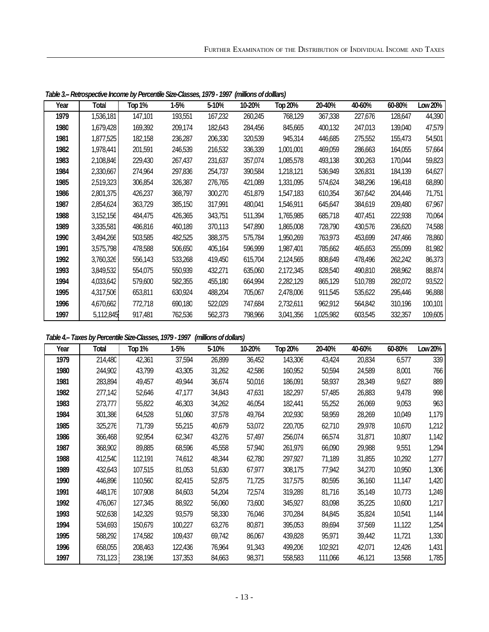| Year | Total     | <b>Top 1%</b> | 1-5%    | 5-10%   | 10-20%  | Top 20%   | 20-40%    | 40-60%  | 60-80%  | Low 20% |
|------|-----------|---------------|---------|---------|---------|-----------|-----------|---------|---------|---------|
| 1979 | 1,536,181 | 147,101       | 193,551 | 167,232 | 260,245 | 768,129   | 367,338   | 227,676 | 128,647 | 44,390  |
| 1980 | 1,679,428 | 169,392       | 209,174 | 182,643 | 284,456 | 845,665   | 400,132   | 247,013 | 139,040 | 47,579  |
| 1981 | 1,877,525 | 182,158       | 236,287 | 206,330 | 320,539 | 945,314   | 446,685   | 275,552 | 155,473 | 54,501  |
| 1982 | 1,978,441 | 201,591       | 246,539 | 216,532 | 336,339 | 1,001,001 | 469,059   | 286,663 | 164,055 | 57,664  |
| 1983 | 2,108,846 | 229,430       | 267,437 | 231,637 | 357,074 | 1,085,578 | 493,138   | 300,263 | 170,044 | 59,823  |
| 1984 | 2,330,667 | 274,964       | 297,836 | 254,737 | 390,584 | 1,218,121 | 536,949   | 326,831 | 184,139 | 64,627  |
| 1985 | 2,519,323 | 306,854       | 326,387 | 276,765 | 421,089 | 1,331,095 | 574,624   | 348,296 | 196,418 | 68,890  |
| 1986 | 2,801,375 | 426,237       | 368,797 | 300,270 | 451,879 | 1,547,183 | 610,354   | 367,642 | 204,446 | 71,751  |
| 1987 | 2,854,624 | 363,729       | 385,150 | 317,991 | 480,041 | 1,546,911 | 645,647   | 384,619 | 209,480 | 67,967  |
| 1988 | 3,152,156 | 484,475       | 426,365 | 343,751 | 511,394 | 1,765,985 | 685,718   | 407,451 | 222,938 | 70,064  |
| 1989 | 3,335,581 | 486,816       | 460,189 | 370,113 | 547,890 | 1,865,008 | 728,790   | 430,576 | 236,620 | 74,588  |
| 1990 | 3,494,266 | 503,585       | 482,525 | 388,375 | 575,784 | 1,950,269 | 763,973   | 453,699 | 247,466 | 78,860  |
| 1991 | 3,575,798 | 478,588       | 506,650 | 405,164 | 596,999 | 1,987,401 | 785,662   | 465,653 | 255,099 | 81,982  |
| 1992 | 3,760,326 | 556,143       | 533,268 | 419,450 | 615,704 | 2,124,565 | 808,649   | 478,496 | 262,242 | 86,373  |
| 1993 | 3,849,532 | 554,075       | 550,939 | 432,271 | 635,060 | 2,172,345 | 828,540   | 490,810 | 268,962 | 88,874  |
| 1994 | 4,033,642 | 579,600       | 582,355 | 455,180 | 664,994 | 2,282,129 | 865,129   | 510,789 | 282,072 | 93,522  |
| 1995 | 4,317,506 | 653,811       | 630,924 | 488,204 | 705,067 | 2,478,006 | 911,545   | 535,622 | 295,446 | 96,888  |
| 1996 | 4,670,662 | 772,718       | 690,180 | 522,029 | 747,684 | 2,732,611 | 962,912   | 564,842 | 310,196 | 100,101 |
| 1997 | 5,112,845 | 917,481       | 762,536 | 562,373 | 798,966 | 3,041,356 | 1,025,982 | 603,545 | 332,357 | 109,605 |

*Table 3.-- Retrospective Income by Percentile Size-Classes, 1979 - 1997 (millions of dolllars)*

#### *Table 4.-- Taxes by Percentile Size-Classes, 1979 - 1997 (millions of dollars)*

| Year | <b>Total</b> | <b>Top 1%</b> | 1-5%    | 5-10%  | 10-20% | Top 20% | 20-40%  | 40-60% | 60-80% | Low 20% |
|------|--------------|---------------|---------|--------|--------|---------|---------|--------|--------|---------|
| 1979 | 214,480      | 42,361        | 37,594  | 26,899 | 36,452 | 143,306 | 43,424  | 20,834 | 6,577  | 339     |
| 1980 | 244,902      | 43,799        | 43,305  | 31,262 | 42,586 | 160,952 | 50,594  | 24,589 | 8,001  | 766     |
| 1981 | 283,894      | 49,457        | 49,944  | 36,674 | 50,016 | 186,091 | 58,937  | 28,349 | 9,627  | 889     |
| 1982 | 277,142      | 52,646        | 47,177  | 34,843 | 47,631 | 182,297 | 57,485  | 26,883 | 9,478  | 998     |
| 1983 | 273,777      | 55,822        | 46,303  | 34,262 | 46,054 | 182,441 | 55,252  | 26,069 | 9,053  | 963     |
| 1984 | 301,386      | 64,528        | 51,060  | 37,578 | 49,764 | 202,930 | 58,959  | 28,269 | 10,049 | 1,179   |
| 1985 | 325,276      | 71,739        | 55,215  | 40,679 | 53,072 | 220,705 | 62,710  | 29,978 | 10,670 | 1,212   |
| 1986 | 366,468      | 92,954        | 62,347  | 43,276 | 57,497 | 256,074 | 66,574  | 31,871 | 10,807 | 1,142   |
| 1987 | 368,902      | 89,885        | 68,596  | 45,558 | 57,940 | 261,979 | 66,090  | 29,988 | 9,551  | 1,294   |
| 1988 | 412,540      | 112,191       | 74,612  | 48,344 | 62,780 | 297,927 | 71,189  | 31,855 | 10,292 | 1,277   |
| 1989 | 432,643      | 107,515       | 81,053  | 51,630 | 67,977 | 308,175 | 77,942  | 34,270 | 10,950 | 1,306   |
| 1990 | 446,896      | 110,560       | 82,415  | 52,875 | 71,725 | 317,575 | 80,595  | 36,160 | 11,147 | 1,420   |
| 1991 | 448,176      | 107,908       | 84,603  | 54,204 | 72,574 | 319,289 | 81,716  | 35,149 | 10,773 | 1,249   |
| 1992 | 476,067      | 127,345       | 88,922  | 56,060 | 73,600 | 345,927 | 83,098  | 35,225 | 10,600 | 1,217   |
| 1993 | 502,638      | 142,329       | 93,579  | 58,330 | 76,046 | 370,284 | 84,845  | 35,824 | 10,541 | 1,144   |
| 1994 | 534,693      | 150,679       | 100,227 | 63,276 | 80,871 | 395,053 | 89.694  | 37,569 | 11,122 | 1,254   |
| 1995 | 588,292      | 174,582       | 109,437 | 69,742 | 86,067 | 439,828 | 95,971  | 39,442 | 11,721 | 1,330   |
| 1996 | 658,055      | 208,463       | 122,436 | 76,964 | 91,343 | 499,206 | 102,921 | 42,071 | 12,426 | 1,431   |
| 1997 | 731,123      | 238,196       | 137,353 | 84,663 | 98,371 | 558,583 | 111,066 | 46,121 | 13,568 | 1,785   |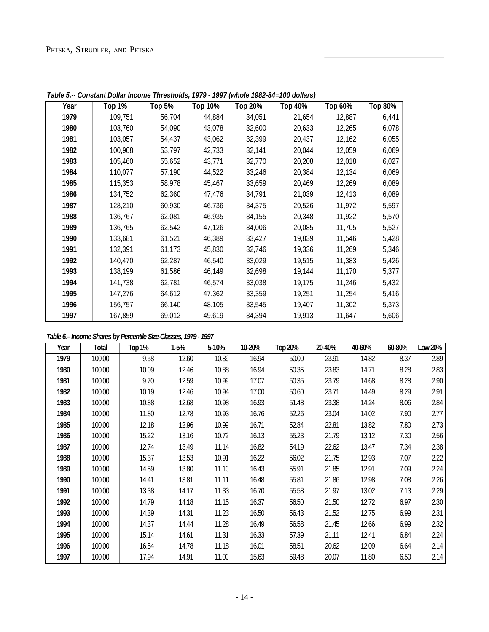| Year | Top 1%  | <b>Top 5%</b> | <b>Top 10%</b> | <b>Top 20%</b> | <b>Top 40%</b> | Top 60% | Top 80% |
|------|---------|---------------|----------------|----------------|----------------|---------|---------|
| 1979 | 109,751 | 56,704        | 44,884         | 34,051         | 21,654         | 12,887  | 6,441   |
| 1980 | 103,760 | 54,090        | 43,078         | 32,600         | 20,633         | 12,265  | 6,078   |
| 1981 | 103,057 | 54,437        | 43,062         | 32,399         | 20,437         | 12,162  | 6,055   |
| 1982 | 100,908 | 53,797        | 42,733         | 32,141         | 20,044         | 12,059  | 6,069   |
| 1983 | 105,460 | 55,652        | 43,771         | 32,770         | 20,208         | 12,018  | 6,027   |
| 1984 | 110,077 | 57,190        | 44,522         | 33,246         | 20,384         | 12,134  | 6,069   |
| 1985 | 115,353 | 58,978        | 45,467         | 33,659         | 20,469         | 12,269  | 6,089   |
| 1986 | 134,752 | 62,360        | 47,476         | 34,791         | 21,039         | 12,413  | 6,089   |
| 1987 | 128,210 | 60,930        | 46,736         | 34,375         | 20,526         | 11,972  | 5,597   |
| 1988 | 136,767 | 62,081        | 46,935         | 34,155         | 20,348         | 11,922  | 5,570   |
| 1989 | 136,765 | 62,542        | 47,126         | 34,006         | 20,085         | 11,705  | 5,527   |
| 1990 | 133,681 | 61,521        | 46,389         | 33,427         | 19,839         | 11,546  | 5,428   |
| 1991 | 132,391 | 61,173        | 45,830         | 32,746         | 19,336         | 11,269  | 5,346   |
| 1992 | 140,470 | 62,287        | 46,540         | 33,029         | 19,515         | 11,383  | 5,426   |
| 1993 | 138,199 | 61,586        | 46,149         | 32,698         | 19,144         | 11,170  | 5,377   |
| 1994 | 141,738 | 62,781        | 46,574         | 33,038         | 19,175         | 11,246  | 5,432   |
| 1995 | 147,276 | 64,612        | 47,362         | 33,359         | 19,251         | 11,254  | 5,416   |
| 1996 | 156,757 | 66,140        | 48,105         | 33,545         | 19,407         | 11,302  | 5,373   |
| 1997 | 167,859 | 69,012        | 49,619         | 34,394         | 19,913         | 11,647  | 5,606   |

*Table 5.-- Constant Dollar Income Thresholds, 1979 - 1997 (whole 1982-84=100 dollars)*

# *Table 6.-- Income Shares by Percentile Size-Classes, 1979 - 1997*

| Year | Total  | Top 1% | 1-5%  | 5-10% | 10-20% | <b>Top 20%</b> | 20-40% | 40-60% | 60-80% | Low 20% |
|------|--------|--------|-------|-------|--------|----------------|--------|--------|--------|---------|
| 1979 | 100.00 | 9.58   | 12.60 | 10.89 | 16.94  | 50.00          | 23.91  | 14.82  | 8.37   | 2.89    |
| 1980 | 100.00 | 10.09  | 12.46 | 10.88 | 16.94  | 50.35          | 23.83  | 14.71  | 8.28   | 2.83    |
| 1981 | 100.00 | 9.70   | 12.59 | 10.99 | 17.07  | 50.35          | 23.79  | 14.68  | 8.28   | 2.90    |
| 1982 | 100.00 | 10.19  | 12.46 | 10.94 | 17.00  | 50.60          | 23.71  | 14.49  | 8.29   | 2.91    |
| 1983 | 100.00 | 10.88  | 12.68 | 10.98 | 16.93  | 51.48          | 23.38  | 14.24  | 8.06   | 2.84    |
| 1984 | 100.00 | 11.80  | 12.78 | 10.93 | 16.76  | 52.26          | 23.04  | 14.02  | 7.90   | 2.77    |
| 1985 | 100.00 | 12.18  | 12.96 | 10.99 | 16.71  | 52.84          | 22.81  | 13.82  | 7.80   | 2.73    |
| 1986 | 100.00 | 15.22  | 13.16 | 10.72 | 16.13  | 55.23          | 21.79  | 13.12  | 7.30   | 2.56    |
| 1987 | 100.00 | 12.74  | 13.49 | 11.14 | 16.82  | 54.19          | 22.62  | 13.47  | 7.34   | 2.38    |
| 1988 | 100.00 | 15.37  | 13.53 | 10.91 | 16.22  | 56.02          | 21.75  | 12.93  | 7.07   | 2.22    |
| 1989 | 100.00 | 14.59  | 13.80 | 11.10 | 16.43  | 55.91          | 21.85  | 12.91  | 7.09   | 2.24    |
| 1990 | 100.00 | 14.41  | 13.81 | 11.11 | 16.48  | 55.81          | 21.86  | 12.98  | 7.08   | 2.26    |
| 1991 | 100.00 | 13.38  | 14.17 | 11.33 | 16.70  | 55.58          | 21.97  | 13.02  | 7.13   | 2.29    |
| 1992 | 100.00 | 14.79  | 14.18 | 11.15 | 16.37  | 56.50          | 21.50  | 12.72  | 6.97   | 2.30    |
| 1993 | 100.00 | 14.39  | 14.31 | 11.23 | 16.50  | 56.43          | 21.52  | 12.75  | 6.99   | 2.31    |
| 1994 | 100.00 | 14.37  | 14.44 | 11.28 | 16.49  | 56.58          | 21.45  | 12.66  | 6.99   | 2.32    |
| 1995 | 100.00 | 15.14  | 14.61 | 11.31 | 16.33  | 57.39          | 21.11  | 12.41  | 6.84   | 2.24    |
| 1996 | 100.00 | 16.54  | 14.78 | 11.18 | 16.01  | 58.51          | 20.62  | 12.09  | 6.64   | 2.14    |
| 1997 | 100.00 | 17.94  | 14.91 | 11.00 | 15.63  | 59.48          | 20.07  | 11.80  | 6.50   | 2.14    |